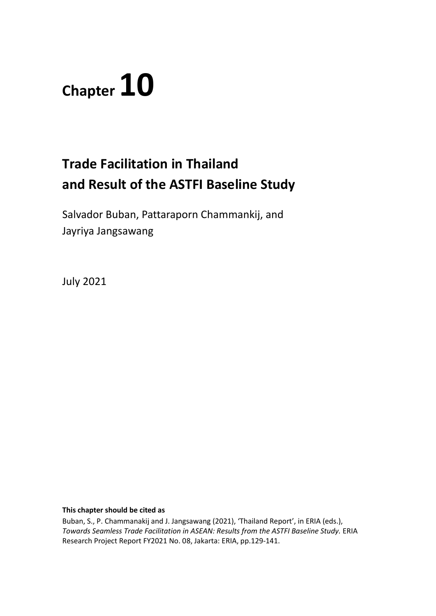# **Chapter 10**

## **Trade Facilitation in Thailand and Result of the ASTFI Baseline Study**

Salvador Buban, Pattaraporn Chammankij, and Jayriya Jangsawang

July 2021

**This chapter should be cited as**

Buban, S., P. Chammanakij and J. Jangsawang (2021), 'Thailand Report', in ERIA (eds.), *Towards Seamless Trade Facilitation in ASEAN: Results from the ASTFI Baseline Study.* ERIA Research Project Report FY2021 No. 08, Jakarta: ERIA, pp.129-141.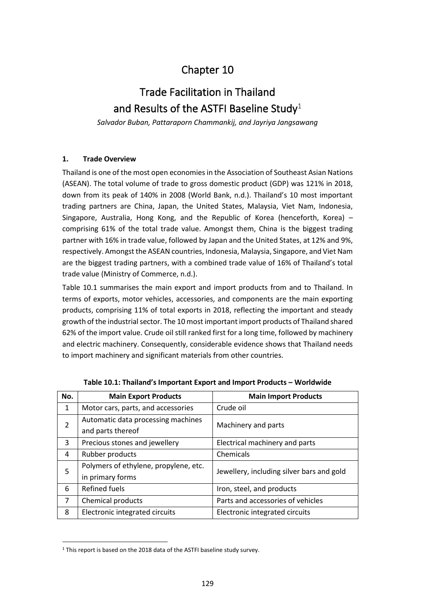### Chapter 10

## Trade Facilitation in Thailand and Results of the ASTFI Baseline Study<sup>1</sup>

*Salvador Buban, Pattaraporn Chammankij, and Jayriya Jangsawang*

#### **1. Trade Overview**

Thailand is one of the most open economies in the Association of Southeast Asian Nations (ASEAN). The total volume of trade to gross domestic product (GDP) was 121% in 2018, down from its peak of 140% in 2008 (World Bank, n.d.). Thailand's 10 most important trading partners are China, Japan, the United States, Malaysia, Viet Nam, Indonesia, Singapore, Australia, Hong Kong, and the Republic of Korea (henceforth, Korea) – comprising 61% of the total trade value. Amongst them, China is the biggest trading partner with 16% in trade value, followed by Japan and the United States, at 12% and 9%, respectively. Amongst the ASEAN countries, Indonesia, Malaysia, Singapore, and Viet Nam are the biggest trading partners, with a combined trade value of 16% of Thailand's total trade value (Ministry of Commerce, n.d.).

Table 10.1 summarises the main export and import products from and to Thailand. In terms of exports, motor vehicles, accessories, and components are the main exporting products, comprising 11% of total exports in 2018, reflecting the important and steady growth of the industrial sector. The 10 most important import products of Thailand shared 62% of the import value. Crude oil still ranked first for a long time, followed by machinery and electric machinery. Consequently, considerable evidence shows that Thailand needs to import machinery and significant materials from other countries.

| No.            | <b>Main Export Products</b>           | <b>Main Import Products</b>               |  |
|----------------|---------------------------------------|-------------------------------------------|--|
| $\mathbf{1}$   | Motor cars, parts, and accessories    | Crude oil                                 |  |
| 2              | Automatic data processing machines    | Machinery and parts                       |  |
|                | and parts thereof                     |                                           |  |
| 3              | Precious stones and jewellery         | Electrical machinery and parts            |  |
| 4              | Rubber products                       | Chemicals                                 |  |
| 5              | Polymers of ethylene, propylene, etc. | Jewellery, including silver bars and gold |  |
|                | in primary forms                      |                                           |  |
| 6              | <b>Refined fuels</b>                  | Iron, steel, and products                 |  |
| $\overline{7}$ | Chemical products                     | Parts and accessories of vehicles         |  |
| 8              | Electronic integrated circuits        | Electronic integrated circuits            |  |

**Table 10.1: Thailand's Important Export and Import Products – Worldwide**

<sup>&</sup>lt;sup>1</sup> This report is based on the 2018 data of the ASTFI baseline study survey.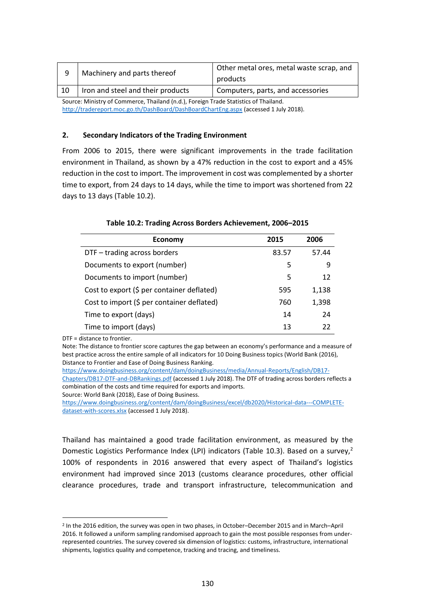| a                                                                                    | Machinery and parts thereof       | Other metal ores, metal waste scrap, and<br>products |  |  |
|--------------------------------------------------------------------------------------|-----------------------------------|------------------------------------------------------|--|--|
| 10                                                                                   | Iron and steel and their products | Computers, parts, and accessories                    |  |  |
| Source: Ministry of Commerce, Thailand (n.d.), Foreign Trade Statistics of Thailand. |                                   |                                                      |  |  |

<http://tradereport.moc.go.th/DashBoard/DashBoardChartEng.aspx> (accessed 1 July 2018).

#### **2. Secondary Indicators of the Trading Environment**

From 2006 to 2015, there were significant improvements in the trade facilitation environment in Thailand, as shown by a 47% reduction in the cost to export and a 45% reduction in the cost to import. The improvement in cost was complemented by a shorter time to export, from 24 days to 14 days, while the time to import was shortened from 22 days to 13 days (Table 10.2).

#### **Table 10.2: Trading Across Borders Achievement, 2006–2015**

| Economy                                    | 2015  | 2006  |
|--------------------------------------------|-------|-------|
| DTF - trading across borders               | 83.57 | 57.44 |
| Documents to export (number)               | 5     | 9     |
| Documents to import (number)               | 5     | 12    |
| Cost to export (\$ per container deflated) | 595   | 1,138 |
| Cost to import (\$ per container deflated) | 760   | 1,398 |
| Time to export (days)                      | 14    | 24    |
| Time to import (days)                      | 13    | 22    |

DTF = distance to frontier.

Note: The distance to frontier score captures the gap between an economy's performance and a measure of best practice across the entire sample of all indicators for 10 Doing Business topics (World Bank (2016), Distance to Frontier and Ease of Doing Business Ranking.

[https://www.doingbusiness.org/content/dam/doingBusiness/media/Annual-Reports/English/DB17-](https://www.doingbusiness.org/content/dam/doingBusiness/media/Annual-Reports/English/DB17-Chapters/DB17-DTF-and-DBRankings.pdf)

[Chapters/DB17-DTF-and-DBRankings.pdf](https://www.doingbusiness.org/content/dam/doingBusiness/media/Annual-Reports/English/DB17-Chapters/DB17-DTF-and-DBRankings.pdf) (accessed 1 July 2018). The DTF of trading across borders reflects a combination of the costs and time required for exports and imports.

Source: World Bank (2018), Ease of Doing Business.

[https://www.doingbusiness.org/content/dam/doingBusiness/excel/db2020/Historical-data---COMPLETE](https://www.doingbusiness.org/content/dam/doingBusiness/excel/db2020/Historical-data---COMPLETE-dataset-with-scores.xlsx)[dataset-with-scores.xlsx](https://www.doingbusiness.org/content/dam/doingBusiness/excel/db2020/Historical-data---COMPLETE-dataset-with-scores.xlsx) (accessed 1 July 2018).

Thailand has maintained a good trade facilitation environment, as measured by the Domestic Logistics Performance Index (LPI) indicators (Table 10.3). Based on a survey, $^2$ 100% of respondents in 2016 answered that every aspect of Thailand's logistics environment had improved since 2013 (customs clearance procedures, other official clearance procedures, trade and transport infrastructure, telecommunication and

<sup>2</sup> In the 2016 edition, the survey was open in two phases, in October–December 2015 and in March–April 2016. It followed a uniform sampling randomised approach to gain the most possible responses from underrepresented countries. The survey covered six dimension of logistics: customs, infrastructure, international shipments, logistics quality and competence, tracking and tracing, and timeliness.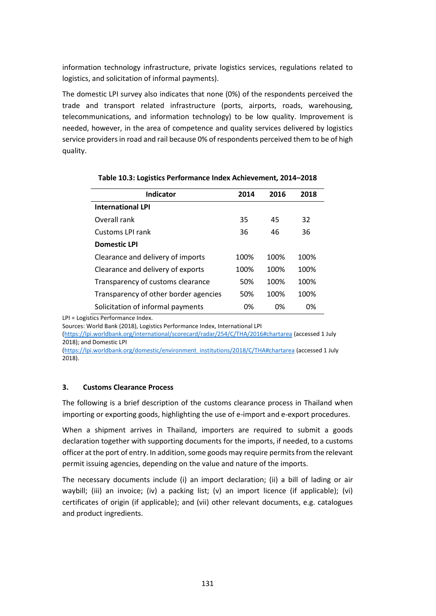information technology infrastructure, private logistics services, regulations related to logistics, and solicitation of informal payments).

The domestic LPI survey also indicates that none (0%) of the respondents perceived the trade and transport related infrastructure (ports, airports, roads, warehousing, telecommunications, and information technology) to be low quality. Improvement is needed, however, in the area of competence and quality services delivered by logistics service providers in road and rail because 0% of respondents perceived them to be of high quality.

| <b>Indicator</b>                      | 2014 | 2016 | 2018 |
|---------------------------------------|------|------|------|
| <b>International LPI</b>              |      |      |      |
| Overall rank                          | 35   | 45   | 32   |
| Customs LPI rank                      | 36   | 46   | 36   |
| <b>Domestic LPI</b>                   |      |      |      |
| Clearance and delivery of imports     | 100% | 100% | 100% |
| Clearance and delivery of exports     | 100% | 100% | 100% |
| Transparency of customs clearance     | 50%  | 100% | 100% |
| Transparency of other border agencies | 50%  | 100% | 100% |
| Solicitation of informal payments     | 0%   | 0%   | 0%   |

**Table 10.3: Logistics Performance Index Achievement, 2014–2018**

LPI = Logistics Performance Index.

Sources: World Bank (2018), Logistics Performance Index, International LPI

[\(https://lpi.worldbank.org/international/scorecard/radar/254/C/THA/2016#chartarea](https://lpi.worldbank.org/international/scorecard/radar/254/C/THA/2016#chartarea) (accessed 1 July 2018); and Domestic LPI

[\(https://lpi.worldbank.org/domestic/environment\\_institutions/2018/C/THA#chartarea](https://lpi.worldbank.org/domestic/environment_institutions/2018/C/THA#chartarea) (accessed 1 July 2018).

#### **3. Customs Clearance Process**

The following is a brief description of the customs clearance process in Thailand when importing or exporting goods, highlighting the use of e-import and e-export procedures.

When a shipment arrives in Thailand, importers are required to submit a goods declaration together with supporting documents for the imports, if needed, to a customs officer at the port of entry. In addition, some goods may require permits from the relevant permit issuing agencies, depending on the value and nature of the imports.

The necessary documents include (i) an import declaration; (ii) a bill of lading or air waybill; (iii) an invoice; (iv) a packing list; (v) an import licence (if applicable); (vi) certificates of origin (if applicable); and (vii) other relevant documents, e.g. catalogues and product ingredients.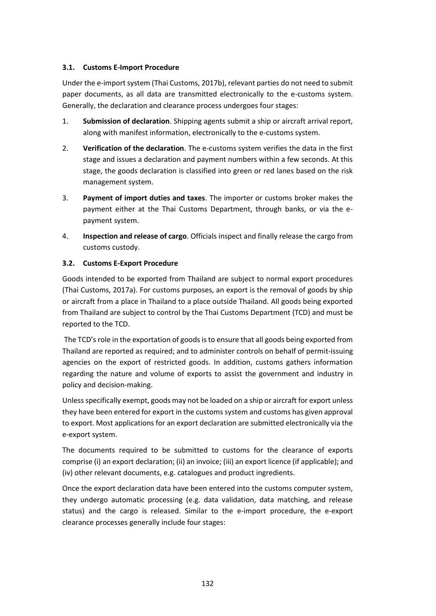#### **3.1. Customs E-Import Procedure**

Under the e-import system (Thai Customs, 2017b), relevant parties do not need to submit paper documents, as all data are transmitted electronically to the e-customs system. Generally, the declaration and clearance process undergoes four stages:

- 1. **Submission of declaration**. Shipping agents submit a ship or aircraft arrival report, along with manifest information, electronically to the e-customs system.
- 2. **Verification of the declaration**. The e-customs system verifies the data in the first stage and issues a declaration and payment numbers within a few seconds. At this stage, the goods declaration is classified into green or red lanes based on the risk management system.
- 3. **Payment of import duties and taxes**. The importer or customs broker makes the payment either at the Thai Customs Department, through banks, or via the epayment system.
- 4. **Inspection and release of cargo**. Officials inspect and finally release the cargo from customs custody.

#### **3.2. Customs E-Export Procedure**

Goods intended to be exported from Thailand are subject to normal export procedures (Thai Customs, 2017a). For customs purposes, an export is the removal of goods by ship or aircraft from a place in Thailand to a place outside Thailand. All goods being exported from Thailand are subject to control by the Thai Customs Department (TCD) and must be reported to the TCD.

The TCD's role in the exportation of goods is to ensure that all goods being exported from Thailand are reported as required; and to administer controls on behalf of permit-issuing agencies on the export of restricted goods. In addition, customs gathers information regarding the nature and volume of exports to assist the government and industry in policy and decision-making.

Unless specifically exempt, goods may not be loaded on a ship or aircraft for export unless they have been entered for export in the customs system and customs has given approval to export. Most applications for an export declaration are submitted electronically via the e-export system.

The documents required to be submitted to customs for the clearance of exports comprise (i) an export declaration; (ii) an invoice; (iii) an export licence (if applicable); and (iv) other relevant documents, e.g. catalogues and product ingredients.

Once the export declaration data have been entered into the customs computer system, they undergo automatic processing (e.g. data validation, data matching, and release status) and the cargo is released. Similar to the e-import procedure, the e-export clearance processes generally include four stages: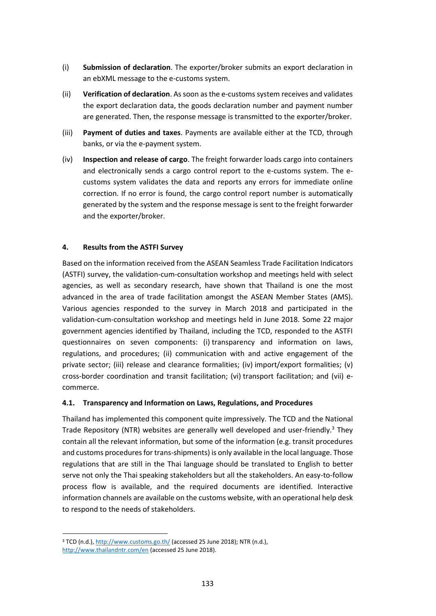- (i) **Submission of declaration**. The exporter/broker submits an export declaration in an ebXML message to the e-customs system.
- (ii) **Verification of declaration**. As soon as the e-customs system receives and validates the export declaration data, the goods declaration number and payment number are generated. Then, the response message is transmitted to the exporter/broker.
- (iii) **Payment of duties and taxes**. Payments are available either at the TCD, through banks, or via the e-payment system.
- (iv) **Inspection and release of cargo**. The freight forwarder loads cargo into containers and electronically sends a cargo control report to the e-customs system. The ecustoms system validates the data and reports any errors for immediate online correction. If no error is found, the cargo control report number is automatically generated by the system and the response message is sent to the freight forwarder and the exporter/broker.

#### **4. Results from the ASTFI Survey**

Based on the information received from the ASEAN Seamless Trade Facilitation Indicators (ASTFI) survey, the validation-cum-consultation workshop and meetings held with select agencies, as well as secondary research, have shown that Thailand is one the most advanced in the area of trade facilitation amongst the ASEAN Member States (AMS). Various agencies responded to the survey in March 2018 and participated in the validation-cum-consultation workshop and meetings held in June 2018. Some 22 major government agencies identified by Thailand, including the TCD, responded to the ASTFI questionnaires on seven components: (i) transparency and information on laws, regulations, and procedures; (ii) communication with and active engagement of the private sector; (iii) release and clearance formalities; (iv) import/export formalities; (v) cross-border coordination and transit facilitation; (vi) transport facilitation; and (vii) ecommerce.

#### **4.1. Transparency and Information on Laws, Regulations, and Procedures**

Thailand has implemented this component quite impressively. The TCD and the National Trade Repository (NTR) websites are generally well developed and user-friendly.<sup>3</sup> They contain all the relevant information, but some of the information (e.g. transit procedures and customs procedures for trans-shipments) is only available in the local language. Those regulations that are still in the Thai language should be translated to English to better serve not only the Thai speaking stakeholders but all the stakeholders. An easy-to-follow process flow is available, and the required documents are identified. Interactive information channels are available on the customs website, with an operational help desk to respond to the needs of stakeholders.

<sup>3</sup> TCD (n.d.)[, http://www.customs.go.th/](http://www.customs.go.th/) (accessed 25 June 2018); NTR (n.d.),

<http://www.thailandntr.com/en> (accessed 25 June 2018).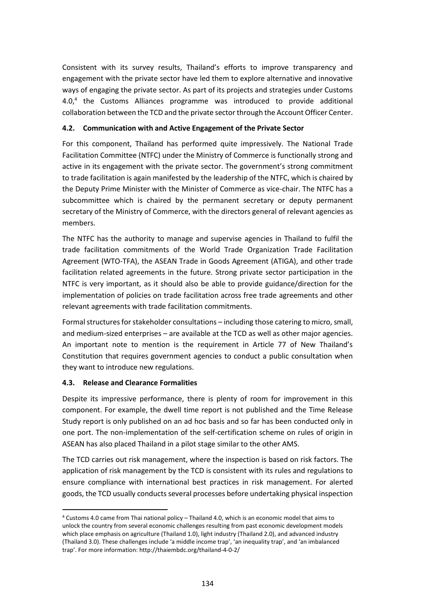Consistent with its survey results, Thailand's efforts to improve transparency and engagement with the private sector have led them to explore alternative and innovative ways of engaging the private sector. As part of its projects and strategies under Customs 4.0,<sup>4</sup> the Customs Alliances programme was introduced to provide additional collaboration between the TCD and the private sector through the Account Officer Center.

#### **4.2. Communication with and Active Engagement of the Private Sector**

For this component, Thailand has performed quite impressively. The National Trade Facilitation Committee (NTFC) under the Ministry of Commerce is functionally strong and active in its engagement with the private sector. The government's strong commitment to trade facilitation is again manifested by the leadership of the NTFC, which is chaired by the Deputy Prime Minister with the Minister of Commerce as vice-chair. The NTFC has a subcommittee which is chaired by the permanent secretary or deputy permanent secretary of the Ministry of Commerce, with the directors general of relevant agencies as members.

The NTFC has the authority to manage and supervise agencies in Thailand to fulfil the trade facilitation commitments of the World Trade Organization Trade Facilitation Agreement (WTO-TFA), the ASEAN Trade in Goods Agreement (ATIGA), and other trade facilitation related agreements in the future. Strong private sector participation in the NTFC is very important, as it should also be able to provide guidance/direction for the implementation of policies on trade facilitation across free trade agreements and other relevant agreements with trade facilitation commitments.

Formal structures for stakeholder consultations – including those catering to micro, small, and medium-sized enterprises – are available at the TCD as well as other major agencies. An important note to mention is the requirement in Article 77 of New Thailand's Constitution that requires government agencies to conduct a public consultation when they want to introduce new regulations.

#### **4.3. Release and Clearance Formalities**

Despite its impressive performance, there is plenty of room for improvement in this component. For example, the dwell time report is not published and the Time Release Study report is only published on an ad hoc basis and so far has been conducted only in one port. The non-implementation of the self-certification scheme on rules of origin in ASEAN has also placed Thailand in a pilot stage similar to the other AMS.

The TCD carries out risk management, where the inspection is based on risk factors. The application of risk management by the TCD is consistent with its rules and regulations to ensure compliance with international best practices in risk management. For alerted goods, the TCD usually conducts several processes before undertaking physical inspection

<sup>4</sup> Customs 4.0 came from Thai national policy – Thailand 4.0, which is an economic model that aims to unlock the country from several economic challenges resulting from past economic development models which place emphasis on agriculture (Thailand 1.0), light industry (Thailand 2.0), and advanced industry (Thailand 3.0). These challenges include 'a middle income trap', 'an inequality trap', and 'an imbalanced trap'. For more information: http://thaiembdc.org/thailand-4-0-2/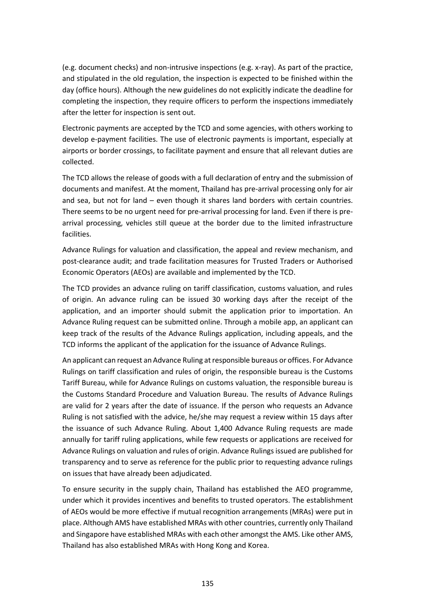(e.g. document checks) and non-intrusive inspections (e.g. x-ray). As part of the practice, and stipulated in the old regulation, the inspection is expected to be finished within the day (office hours). Although the new guidelines do not explicitly indicate the deadline for completing the inspection, they require officers to perform the inspections immediately after the letter for inspection is sent out.

Electronic payments are accepted by the TCD and some agencies, with others working to develop e-payment facilities. The use of electronic payments is important, especially at airports or border crossings, to facilitate payment and ensure that all relevant duties are collected.

The TCD allows the release of goods with a full declaration of entry and the submission of documents and manifest. At the moment, Thailand has pre-arrival processing only for air and sea, but not for land – even though it shares land borders with certain countries. There seems to be no urgent need for pre-arrival processing for land. Even if there is prearrival processing, vehicles still queue at the border due to the limited infrastructure facilities.

Advance Rulings for valuation and classification, the appeal and review mechanism, and post-clearance audit; and trade facilitation measures for Trusted Traders or Authorised Economic Operators (AEOs) are available and implemented by the TCD.

The TCD provides an advance ruling on tariff classification, customs valuation, and rules of origin. An advance ruling can be issued 30 working days after the receipt of the application, and an importer should submit the application prior to importation. An Advance Ruling request can be submitted online. Through a mobile app, an applicant can keep track of the results of the Advance Rulings application, including appeals, and the TCD informs the applicant of the application for the issuance of Advance Rulings.

An applicant can request an Advance Ruling at responsible bureaus or offices. For Advance Rulings on tariff classification and rules of origin, the responsible bureau is the Customs Tariff Bureau, while for Advance Rulings on customs valuation, the responsible bureau is the Customs Standard Procedure and Valuation Bureau. The results of Advance Rulings are valid for 2 years after the date of issuance. If the person who requests an Advance Ruling is not satisfied with the advice, he/she may request a review within 15 days after the issuance of such Advance Ruling. About 1,400 Advance Ruling requests are made annually for tariff ruling applications, while few requests or applications are received for Advance Rulings on valuation and rules of origin. Advance Rulings issued are published for transparency and to serve as reference for the public prior to requesting advance rulings on issues that have already been adjudicated.

To ensure security in the supply chain, Thailand has established the AEO programme, under which it provides incentives and benefits to trusted operators. The establishment of AEOs would be more effective if mutual recognition arrangements (MRAs) were put in place. Although AMS have established MRAs with other countries, currently only Thailand and Singapore have established MRAs with each other amongst the AMS. Like other AMS, Thailand has also established MRAs with Hong Kong and Korea.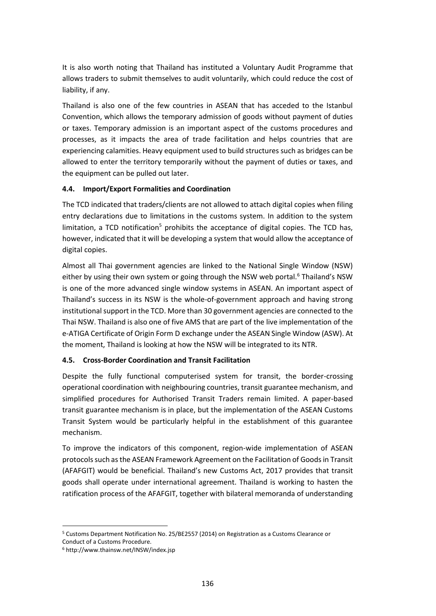It is also worth noting that Thailand has instituted a Voluntary Audit Programme that allows traders to submit themselves to audit voluntarily, which could reduce the cost of liability, if any.

Thailand is also one of the few countries in ASEAN that has acceded to the Istanbul Convention, which allows the temporary admission of goods without payment of duties or taxes. Temporary admission is an important aspect of the customs procedures and processes, as it impacts the area of trade facilitation and helps countries that are experiencing calamities. Heavy equipment used to build structures such as bridges can be allowed to enter the territory temporarily without the payment of duties or taxes, and the equipment can be pulled out later.

#### **4.4. Import/Export Formalities and Coordination**

The TCD indicated that traders/clients are not allowed to attach digital copies when filing entry declarations due to limitations in the customs system. In addition to the system limitation, a TCD notification<sup>5</sup> prohibits the acceptance of digital copies. The TCD has, however, indicated that it will be developing a system that would allow the acceptance of digital copies.

Almost all Thai government agencies are linked to the National Single Window (NSW) either by using their own system or going through the NSW web portal.<sup>6</sup> Thailand's NSW is one of the more advanced single window systems in ASEAN. An important aspect of Thailand's success in its NSW is the whole-of-government approach and having strong institutional support in the TCD. More than 30 government agencies are connected to the Thai NSW. Thailand is also one of five AMS that are part of the live implementation of the e-ATIGA Certificate of Origin Form D exchange under the ASEAN Single Window (ASW). At the moment, Thailand is looking at how the NSW will be integrated to its NTR.

#### **4.5. Cross-Border Coordination and Transit Facilitation**

Despite the fully functional computerised system for transit, the border-crossing operational coordination with neighbouring countries, transit guarantee mechanism, and simplified procedures for Authorised Transit Traders remain limited. A paper-based transit guarantee mechanism is in place, but the implementation of the ASEAN Customs Transit System would be particularly helpful in the establishment of this guarantee mechanism.

To improve the indicators of this component, region-wide implementation of ASEAN protocols such as the ASEAN Framework Agreement on the Facilitation of Goods in Transit (AFAFGIT) would be beneficial. Thailand's new Customs Act, 2017 provides that transit goods shall operate under international agreement. Thailand is working to hasten the ratification process of the AFAFGIT, together with bilateral memoranda of understanding

<sup>5</sup> Customs Department Notification No. 25/BE2557 (2014) on Registration as a Customs Clearance or Conduct of a Customs Procedure.

<sup>6</sup> http://www.thainsw.net/INSW/index.jsp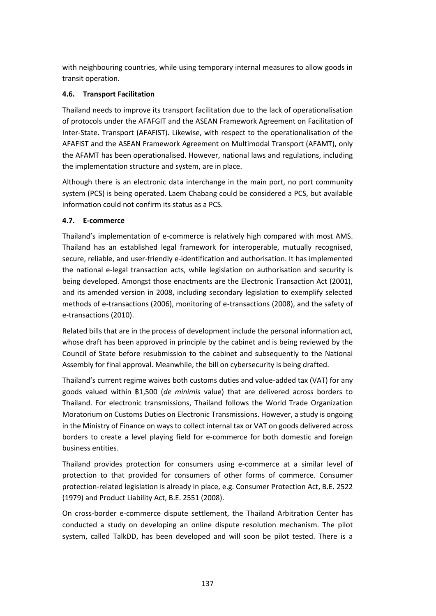with neighbouring countries, while using temporary internal measures to allow goods in transit operation.

#### **4.6. Transport Facilitation**

Thailand needs to improve its transport facilitation due to the lack of operationalisation of protocols under the AFAFGIT and the ASEAN Framework Agreement on Facilitation of Inter-State. Transport (AFAFIST). Likewise, with respect to the operationalisation of the AFAFIST and the ASEAN Framework Agreement on Multimodal Transport (AFAMT), only the AFAMT has been operationalised. However, national laws and regulations, including the implementation structure and system, are in place.

Although there is an electronic data interchange in the main port, no port community system (PCS) is being operated. Laem Chabang could be considered a PCS, but available information could not confirm its status as a PCS.

#### **4.7. E-commerce**

Thailand's implementation of e-commerce is relatively high compared with most AMS. Thailand has an established legal framework for interoperable, mutually recognised, secure, reliable, and user-friendly e-identification and authorisation. It has implemented the national e-legal transaction acts, while legislation on authorisation and security is being developed. Amongst those enactments are the Electronic Transaction Act (2001), and its amended version in 2008, including secondary legislation to exemplify selected methods of e-transactions (2006), monitoring of e-transactions (2008), and the safety of e-transactions (2010).

Related bills that are in the process of development include the personal information act, whose draft has been approved in principle by the cabinet and is being reviewed by the Council of State before resubmission to the cabinet and subsequently to the National Assembly for final approval. Meanwhile, the bill on cybersecurity is being drafted.

Thailand's current regime waives both customs duties and value-added tax (VAT) for any goods valued within ฿1,500 (*de minimis* value) that are delivered across borders to Thailand. For electronic transmissions, Thailand follows the World Trade Organization Moratorium on Customs Duties on Electronic Transmissions. However, a study is ongoing in the Ministry of Finance on ways to collect internal tax or VAT on goods delivered across borders to create a level playing field for e-commerce for both domestic and foreign business entities.

Thailand provides protection for consumers using e-commerce at a similar level of protection to that provided for consumers of other forms of commerce. Consumer protection-related legislation is already in place, e.g. Consumer Protection Act, B.E. 2522 (1979) and Product Liability Act, B.E. 2551 (2008).

On cross-border e-commerce dispute settlement, the Thailand Arbitration Center has conducted a study on developing an online dispute resolution mechanism. The pilot system, called TalkDD, has been developed and will soon be pilot tested. There is a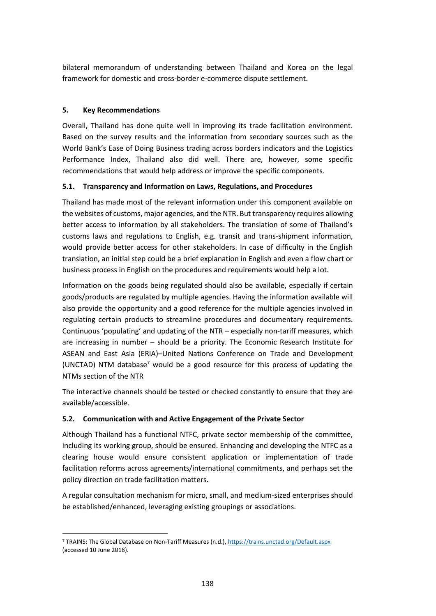bilateral memorandum of understanding between Thailand and Korea on the legal framework for domestic and cross-border e-commerce dispute settlement.

#### **5. Key Recommendations**

Overall, Thailand has done quite well in improving its trade facilitation environment. Based on the survey results and the information from secondary sources such as the World Bank's Ease of Doing Business trading across borders indicators and the Logistics Performance Index, Thailand also did well. There are, however, some specific recommendations that would help address or improve the specific components.

#### **5.1. Transparency and Information on Laws, Regulations, and Procedures**

Thailand has made most of the relevant information under this component available on the websites of customs, major agencies, and the NTR. But transparency requires allowing better access to information by all stakeholders. The translation of some of Thailand's customs laws and regulations to English, e.g. transit and trans-shipment information, would provide better access for other stakeholders. In case of difficulty in the English translation, an initial step could be a brief explanation in English and even a flow chart or business process in English on the procedures and requirements would help a lot.

Information on the goods being regulated should also be available, especially if certain goods/products are regulated by multiple agencies. Having the information available will also provide the opportunity and a good reference for the multiple agencies involved in regulating certain products to streamline procedures and documentary requirements. Continuous 'populating' and updating of the NTR – especially non-tariff measures, which are increasing in number – should be a priority. The Economic Research Institute for ASEAN and East Asia (ERIA)–United Nations Conference on Trade and Development (UNCTAD) NTM database<sup>7</sup> would be a good resource for this process of updating the NTMs section of the NTR

The interactive channels should be tested or checked constantly to ensure that they are available/accessible.

#### **5.2. Communication with and Active Engagement of the Private Sector**

Although Thailand has a functional NTFC, private sector membership of the committee, including its working group, should be ensured. Enhancing and developing the NTFC as a clearing house would ensure consistent application or implementation of trade facilitation reforms across agreements/international commitments, and perhaps set the policy direction on trade facilitation matters.

A regular consultation mechanism for micro, small, and medium-sized enterprises should be established/enhanced, leveraging existing groupings or associations.

<sup>7</sup> TRAINS: The Global Database on Non-Tariff Measures (n.d.)[, https://trains.unctad.org/Default.aspx](https://trains.unctad.org/Default.aspx) (accessed 10 June 2018).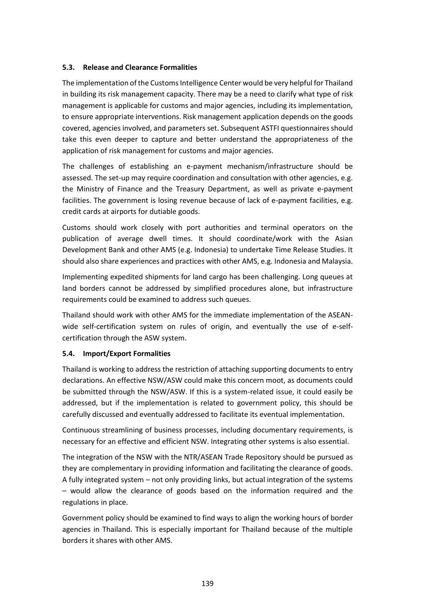#### **5.3. Release and Clearance Formalities**

The implementation of the Customs Intelligence Center would be very helpful for Thailand in building its risk management capacity. There may be a need to clarify what type of risk management is applicable for customs and major agencies, including its implementation, to ensure appropriate interventions. Risk management application depends on the goods covered, agencies involved, and parameters set. Subsequent ASTFI questionnaires should take this even deeper to capture and better understand the appropriateness of the application of risk management for customs and major agencies.

The challenges of establishing an e-payment mechanism/infrastructure should be assessed. The set-up may require coordination and consultation with other agencies, e.g. the Ministry of Finance and the Treasury Department, as well as private e-payment facilities. The government is losing revenue because of lack of e-payment facilities, e.g. credit cards at airports for dutiable goods.

Customs should work closely with port authorities and terminal operators on the publication of average dwell times. It should coordinate/work with the Asian Development Bank and other AMS (e.g. Indonesia) to undertake Time Release Studies. It should also share experiences and practices with other AMS, e.g. Indonesia and Malaysia.

Implementing expedited shipments for land cargo has been challenging. Long queues at land borders cannot be addressed by simplified procedures alone, but infrastructure requirements could be examined to address such queues.

Thailand should work with other AMS for the immediate implementation of the ASEANwide self-certification system on rules of origin, and eventually the use of e-selfcertification through the ASW system.

#### **5.4. Import/Export Formalities**

Thailand is working to address the restriction of attaching supporting documents to entry declarations. An effective NSW/ASW could make this concern moot, as documents could be submitted through the NSW/ASW. If this is a system-related issue, it could easily be addressed, but if the implementation is related to government policy, this should be carefully discussed and eventually addressed to facilitate its eventual implementation.

Continuous streamlining of business processes, including documentary requirements, is necessary for an effective and efficient NSW. Integrating other systems is also essential.

The integration of the NSW with the NTR/ASEAN Trade Repository should be pursued as they are complementary in providing information and facilitating the clearance of goods. A fully integrated system – not only providing links, but actual integration of the systems – would allow the clearance of goods based on the information required and the regulations in place.

Government policy should be examined to find ways to align the working hours of border agencies in Thailand. This is especially important for Thailand because of the multiple borders it shares with other AMS.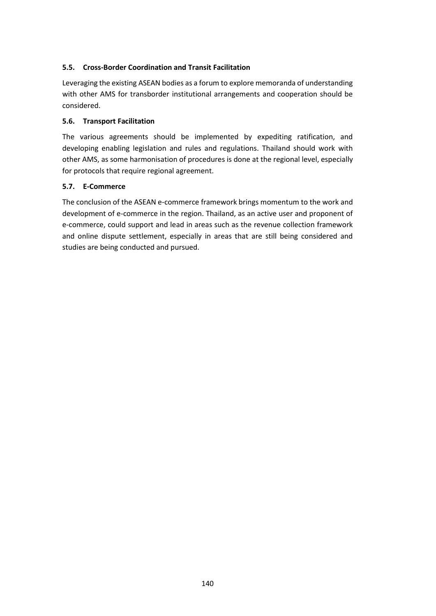#### **5.5. Cross-Border Coordination and Transit Facilitation**

Leveraging the existing ASEAN bodies as a forum to explore memoranda of understanding with other AMS for transborder institutional arrangements and cooperation should be considered.

#### **5.6. Transport Facilitation**

The various agreements should be implemented by expediting ratification, and developing enabling legislation and rules and regulations. Thailand should work with other AMS, as some harmonisation of procedures is done at the regional level, especially for protocols that require regional agreement.

#### **5.7. E-Commerce**

The conclusion of the ASEAN e-commerce framework brings momentum to the work and development of e-commerce in the region. Thailand, as an active user and proponent of e-commerce, could support and lead in areas such as the revenue collection framework and online dispute settlement, especially in areas that are still being considered and studies are being conducted and pursued.